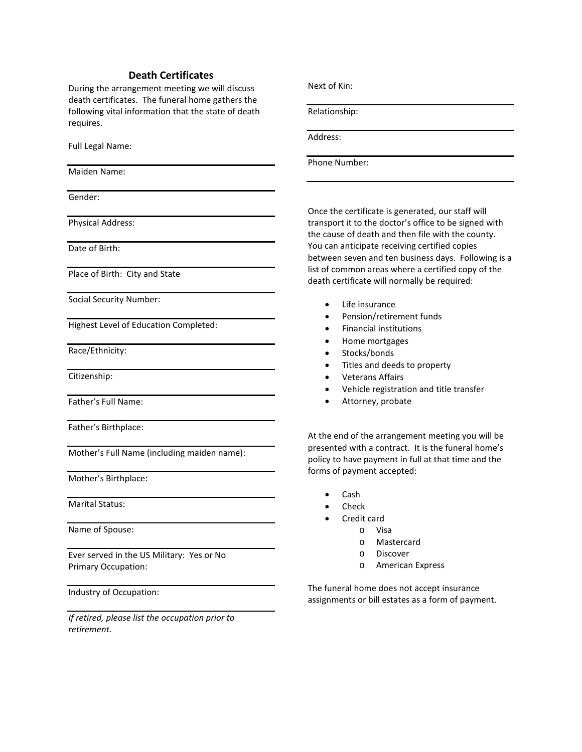## **Death Certificates**

During the arrangement meeting we will discuss death certificates. The funeral home gathers the following vital information that the state of death requires.

Full Legal Name:

Maiden Name:

Gender:

Physical Address:

Date of Birth:

Place of Birth: City and State

Social Security Number:

Highest Level of Education Completed:

Race/Ethnicity:

Citizenship:

Father's Full Name:

Father's Birthplace:

Mother's Full Name (including maiden name):

Mother's Birthplace:

Marital Status:

Name of Spouse:

Ever served in the US Military: Yes or No Primary Occupation:

Industry of Occupation:

*If retired, please list the occupation prior to retirement.*

Next of Kin:

Relationship:

Address:

Phone Number:

Once the certificate is generated, our staff will transport it to the doctor's office to be signed with the cause of death and then file with the county. You can anticipate receiving certified copies between seven and ten business days. Following is a list of common areas where a certified copy of the death certificate will normally be required:

- Life insurance
- Pension/retirement funds
- Financial institutions
- Home mortgages
- Stocks/bonds
- Titles and deeds to property
- Veterans Affairs
- Vehicle registration and title transfer
- Attorney, probate

At the end of the arrangement meeting you will be presented with a contract. It is the funeral home's policy to have payment in full at that time and the forms of payment accepted:

- Cash
- **Check**
- Credit card
	- o Visa
	- o Mastercard
	- o Discover
	- o American Express

The funeral home does not accept insurance assignments or bill estates as a form of payment.